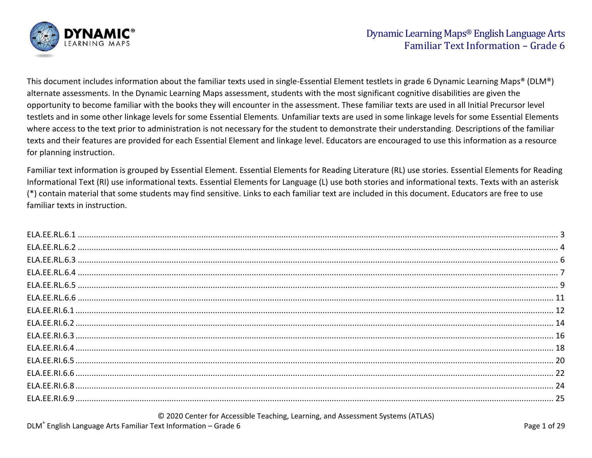

This document includes information about the familiar texts used in single-Essential Element testlets in grade 6 Dynamic Learning Maps® (DLM®) alternate assessments. In the Dynamic Learning Maps assessment, students with the most significant cognitive disabilities are given the opportunity to become familiar with the books they will encounter in the assessment. These familiar texts are used in all Initial Precursor level testlets and in some other linkage levels for some Essential Elements*.* Unfamiliar texts are used in some linkage levels for some Essential Elements where access to the text prior to administration is not necessary for the student to demonstrate their understanding. Descriptions of the familiar texts and their features are provided for each Essential Element and linkage level. Educators are encouraged to use this information as a resource for planning instruction.

Familiar text information is grouped by Essential Element. Essential Elements for Reading Literature (RL) use stories. Essential Elements for Reading Informational Text (RI) use informational texts. Essential Elements for Language (L) use both stories and informational texts. Texts with an asterisk (\*) contain material that some students may find sensitive. Links to each familiar text are included in this document. Educators are free to use familiar texts in instruction.

© 2020 Center for Accessible Teaching, Learning, and Assessment Systems (ATLAS)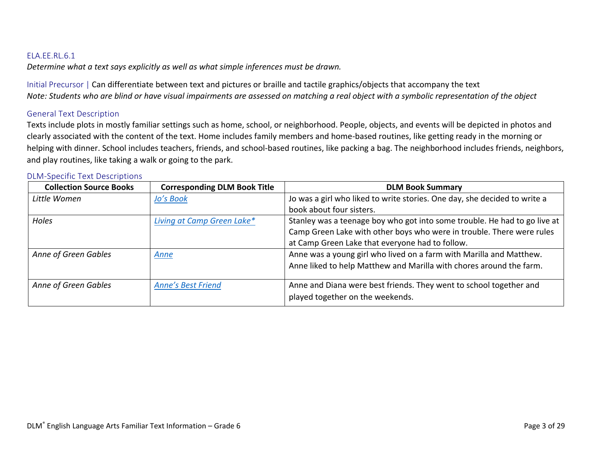<span id="page-2-0"></span>*Determine what a text says explicitly as well as what simple inferences must be drawn.*

Initial Precursor | Can differentiate between text and pictures or braille and tactile graphics/objects that accompany the text *Note: Students who are blind or have visual impairments are assessed on matching a real object with a symbolic representation of the object*

#### General Text Description

Texts include plots in mostly familiar settings such as home, school, or neighborhood. People, objects, and events will be depicted in photos and clearly associated with the content of the text. Home includes family members and home-based routines, like getting ready in the morning or helping with dinner. School includes teachers, friends, and school-based routines, like packing a bag. The neighborhood includes friends, neighbors, and play routines, like taking a walk or going to the park.

| <b>Collection Source Books</b> | <b>Corresponding DLM Book Title</b> | <b>DLM Book Summary</b>                                                   |
|--------------------------------|-------------------------------------|---------------------------------------------------------------------------|
| Little Women                   | Jo's Book                           | Jo was a girl who liked to write stories. One day, she decided to write a |
|                                |                                     | book about four sisters.                                                  |
| Holes                          | Living at Camp Green Lake*          | Stanley was a teenage boy who got into some trouble. He had to go live at |
|                                |                                     | Camp Green Lake with other boys who were in trouble. There were rules     |
|                                |                                     | at Camp Green Lake that everyone had to follow.                           |
| Anne of Green Gables           | Anne                                | Anne was a young girl who lived on a farm with Marilla and Matthew.       |
|                                |                                     | Anne liked to help Matthew and Marilla with chores around the farm.       |
| Anne of Green Gables           | <b>Anne's Best Friend</b>           | Anne and Diana were best friends. They went to school together and        |
|                                |                                     | played together on the weekends.                                          |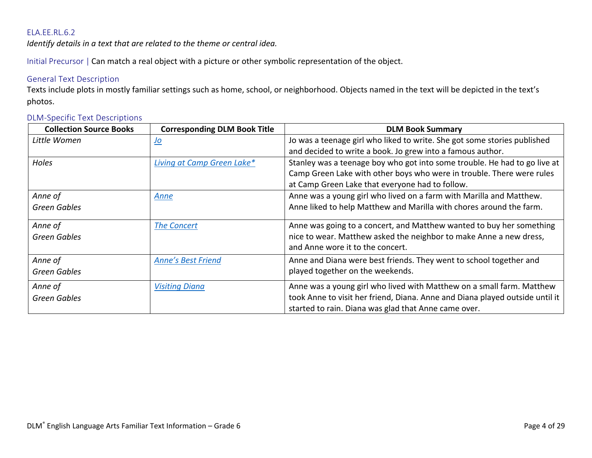<span id="page-3-0"></span>*Identify details in a text that are related to the theme or central idea.*

Initial Precursor | Can match a real object with a picture or other symbolic representation of the object.

### General Text Description

Texts include plots in mostly familiar settings such as home, school, or neighborhood. Objects named in the text will be depicted in the text's photos.

| <b>Collection Source Books</b> | <b>Corresponding DLM Book Title</b> | <b>DLM Book Summary</b>                                                      |
|--------------------------------|-------------------------------------|------------------------------------------------------------------------------|
| Little Women                   | <u>Jo</u>                           | Jo was a teenage girl who liked to write. She got some stories published     |
|                                |                                     | and decided to write a book. Jo grew into a famous author.                   |
| Holes                          | Living at Camp Green Lake*          | Stanley was a teenage boy who got into some trouble. He had to go live at    |
|                                |                                     | Camp Green Lake with other boys who were in trouble. There were rules        |
|                                |                                     | at Camp Green Lake that everyone had to follow.                              |
| Anne of                        | <u>Anne</u>                         | Anne was a young girl who lived on a farm with Marilla and Matthew.          |
| <b>Green Gables</b>            |                                     | Anne liked to help Matthew and Marilla with chores around the farm.          |
| Anne of                        | <b>The Concert</b>                  | Anne was going to a concert, and Matthew wanted to buy her something         |
|                                |                                     | nice to wear. Matthew asked the neighbor to make Anne a new dress,           |
| <b>Green Gables</b>            |                                     | and Anne wore it to the concert.                                             |
|                                |                                     |                                                                              |
| Anne of                        | <b>Anne's Best Friend</b>           | Anne and Diana were best friends. They went to school together and           |
| Green Gables                   |                                     | played together on the weekends.                                             |
| Anne of                        | <b>Visiting Diana</b>               | Anne was a young girl who lived with Matthew on a small farm. Matthew        |
| <b>Green Gables</b>            |                                     | took Anne to visit her friend, Diana. Anne and Diana played outside until it |
|                                |                                     | started to rain. Diana was glad that Anne came over.                         |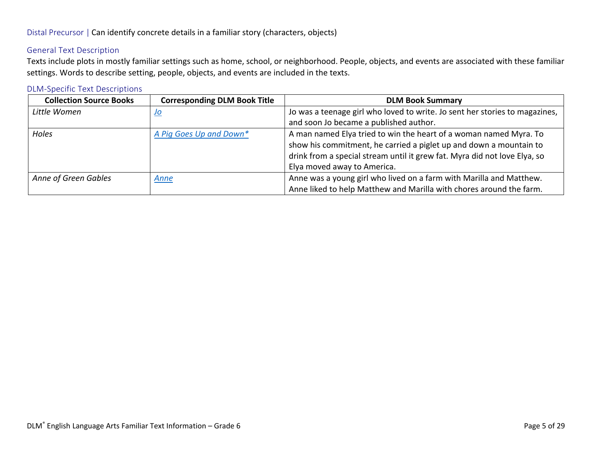### General Text Description

Texts include plots in mostly familiar settings such as home, school, or neighborhood. People, objects, and events are associated with these familiar settings. Words to describe setting, people, objects, and events are included in the texts.

| <b>Collection Source Books</b> | <b>Corresponding DLM Book Title</b> | <b>DLM Book Summary</b>                                                                                                                                                                                                                             |
|--------------------------------|-------------------------------------|-----------------------------------------------------------------------------------------------------------------------------------------------------------------------------------------------------------------------------------------------------|
| Little Women                   | <u>Jo</u>                           | Jo was a teenage girl who loved to write. Jo sent her stories to magazines,<br>and soon Jo became a published author.                                                                                                                               |
| Holes                          | A Pig Goes Up and Down*             | A man named Elya tried to win the heart of a woman named Myra. To<br>show his commitment, he carried a piglet up and down a mountain to<br>drink from a special stream until it grew fat. Myra did not love Elya, so<br>Elya moved away to America. |
| Anne of Green Gables           | Anne                                | Anne was a young girl who lived on a farm with Marilla and Matthew.<br>Anne liked to help Matthew and Marilla with chores around the farm.                                                                                                          |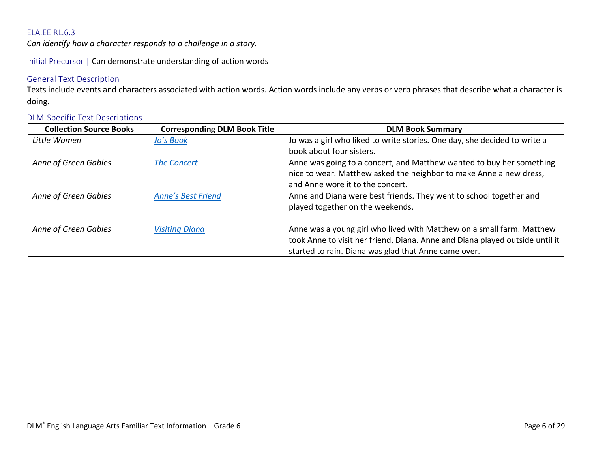<span id="page-5-0"></span>*Can identify how a character responds to a challenge in a story.*

Initial Precursor | Can demonstrate understanding of action words

### General Text Description

Texts include events and characters associated with action words. Action words include any verbs or verb phrases that describe what a character is doing.

| <b>Collection Source Books</b> | <b>Corresponding DLM Book Title</b> | <b>DLM Book Summary</b>                                                      |
|--------------------------------|-------------------------------------|------------------------------------------------------------------------------|
| Little Women                   | Jo's Book                           | Jo was a girl who liked to write stories. One day, she decided to write a    |
|                                |                                     | book about four sisters.                                                     |
| Anne of Green Gables           | <b>The Concert</b>                  | Anne was going to a concert, and Matthew wanted to buy her something         |
|                                |                                     | nice to wear. Matthew asked the neighbor to make Anne a new dress,           |
|                                |                                     | and Anne wore it to the concert.                                             |
| Anne of Green Gables           | <b>Anne's Best Friend</b>           | Anne and Diana were best friends. They went to school together and           |
|                                |                                     | played together on the weekends.                                             |
|                                |                                     |                                                                              |
| Anne of Green Gables           | <b>Visiting Diana</b>               | Anne was a young girl who lived with Matthew on a small farm. Matthew        |
|                                |                                     | took Anne to visit her friend, Diana. Anne and Diana played outside until it |
|                                |                                     | started to rain. Diana was glad that Anne came over.                         |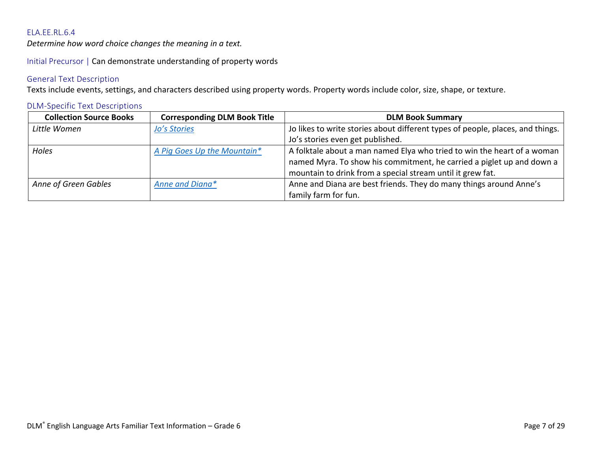<span id="page-6-0"></span>*Determine how word choice changes the meaning in a text.*

Initial Precursor | Can demonstrate understanding of property words

### General Text Description

Texts include events, settings, and characters described using property words. Property words include color, size, shape, or texture.

| <b>Collection Source Books</b> | <b>Corresponding DLM Book Title</b> | <b>DLM Book Summary</b>                                                        |
|--------------------------------|-------------------------------------|--------------------------------------------------------------------------------|
| Little Women                   | <b>Jo's Stories</b>                 | Jo likes to write stories about different types of people, places, and things. |
|                                |                                     | Jo's stories even get published.                                               |
| Holes                          | A Pig Goes Up the Mountain*         | A folktale about a man named Elya who tried to win the heart of a woman        |
|                                |                                     | named Myra. To show his commitment, he carried a piglet up and down a          |
|                                |                                     | mountain to drink from a special stream until it grew fat.                     |
| Anne of Green Gables           | Anne and Diana*                     | Anne and Diana are best friends. They do many things around Anne's             |
|                                |                                     | family farm for fun.                                                           |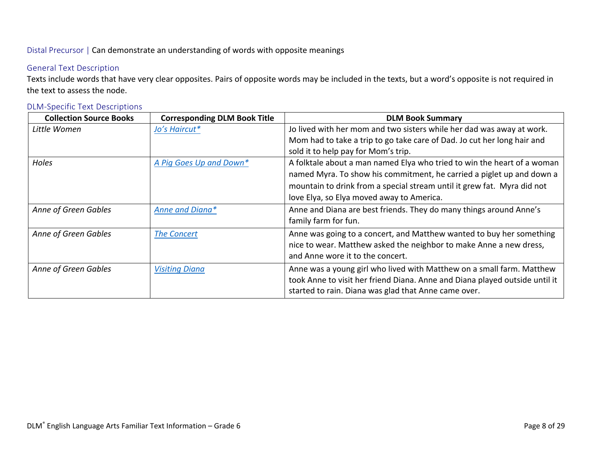Distal Precursor | Can demonstrate an understanding of words with opposite meanings

## General Text Description

Texts include words that have very clear opposites. Pairs of opposite words may be included in the texts, but a word's opposite is not required in the text to assess the node.

| <b>Collection Source Books</b> | <b>Corresponding DLM Book Title</b> | <b>DLM Book Summary</b>                                                     |
|--------------------------------|-------------------------------------|-----------------------------------------------------------------------------|
| Little Women                   | Jo's Haircut*                       | Jo lived with her mom and two sisters while her dad was away at work.       |
|                                |                                     | Mom had to take a trip to go take care of Dad. Jo cut her long hair and     |
|                                |                                     | sold it to help pay for Mom's trip.                                         |
| Holes                          | A Pig Goes Up and Down*             | A folktale about a man named Elya who tried to win the heart of a woman     |
|                                |                                     | named Myra. To show his commitment, he carried a piglet up and down a       |
|                                |                                     | mountain to drink from a special stream until it grew fat. Myra did not     |
|                                |                                     | love Elya, so Elya moved away to America.                                   |
| Anne of Green Gables           | Anne and Diana*                     | Anne and Diana are best friends. They do many things around Anne's          |
|                                |                                     | family farm for fun.                                                        |
| Anne of Green Gables           | <b>The Concert</b>                  | Anne was going to a concert, and Matthew wanted to buy her something        |
|                                |                                     | nice to wear. Matthew asked the neighbor to make Anne a new dress,          |
|                                |                                     | and Anne wore it to the concert.                                            |
| Anne of Green Gables           | <b>Visiting Diana</b>               | Anne was a young girl who lived with Matthew on a small farm. Matthew       |
|                                |                                     | took Anne to visit her friend Diana. Anne and Diana played outside until it |
|                                |                                     | started to rain. Diana was glad that Anne came over.                        |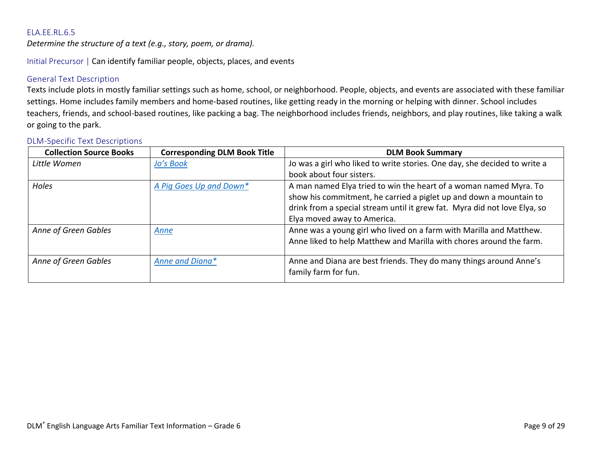<span id="page-8-0"></span>*Determine the structure of a text (e.g., story, poem, or drama).*

Initial Precursor | Can identify familiar people, objects, places, and events

### General Text Description

Texts include plots in mostly familiar settings such as home, school, or neighborhood. People, objects, and events are associated with these familiar settings. Home includes family members and home-based routines, like getting ready in the morning or helping with dinner. School includes teachers, friends, and school-based routines, like packing a bag. The neighborhood includes friends, neighbors, and play routines, like taking a walk or going to the park.

| <b>Collection Source Books</b> | <b>Corresponding DLM Book Title</b> | <b>DLM Book Summary</b>                                                                    |
|--------------------------------|-------------------------------------|--------------------------------------------------------------------------------------------|
| Little Women                   | Jo's Book                           | Jo was a girl who liked to write stories. One day, she decided to write a                  |
|                                |                                     | book about four sisters.                                                                   |
| Holes                          | A Pig Goes Up and Down*             | A man named Elya tried to win the heart of a woman named Myra. To                          |
|                                |                                     | show his commitment, he carried a piglet up and down a mountain to                         |
|                                |                                     | drink from a special stream until it grew fat. Myra did not love Elya, so                  |
|                                |                                     | Elya moved away to America.                                                                |
| Anne of Green Gables           | Anne                                | Anne was a young girl who lived on a farm with Marilla and Matthew.                        |
|                                |                                     | Anne liked to help Matthew and Marilla with chores around the farm.                        |
| Anne of Green Gables           | Anne and Diana*                     | Anne and Diana are best friends. They do many things around Anne's<br>family farm for fun. |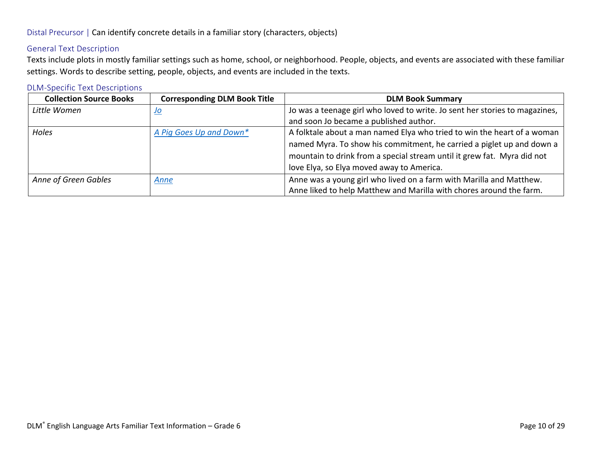# General Text Description

Texts include plots in mostly familiar settings such as home, school, or neighborhood. People, objects, and events are associated with these familiar settings. Words to describe setting, people, objects, and events are included in the texts.

| <b>Collection Source Books</b> | <b>Corresponding DLM Book Title</b> | <b>DLM Book Summary</b>                                                     |
|--------------------------------|-------------------------------------|-----------------------------------------------------------------------------|
| Little Women                   | <u>Jo</u>                           | Jo was a teenage girl who loved to write. Jo sent her stories to magazines, |
|                                |                                     | and soon Jo became a published author.                                      |
| Holes                          | A Pig Goes Up and Down*             | A folktale about a man named Elya who tried to win the heart of a woman     |
|                                |                                     | named Myra. To show his commitment, he carried a piglet up and down a       |
|                                |                                     | mountain to drink from a special stream until it grew fat. Myra did not     |
|                                |                                     | love Elya, so Elya moved away to America.                                   |
| Anne of Green Gables           | Anne                                | Anne was a young girl who lived on a farm with Marilla and Matthew.         |
|                                |                                     | Anne liked to help Matthew and Marilla with chores around the farm.         |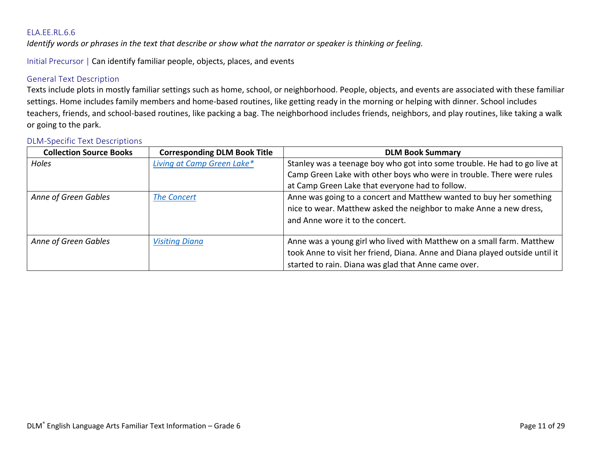<span id="page-10-0"></span>*Identify words or phrases in the text that describe or show what the narrator or speaker is thinking or feeling.*

Initial Precursor | Can identify familiar people, objects, places, and events

#### General Text Description

Texts include plots in mostly familiar settings such as home, school, or neighborhood. People, objects, and events are associated with these familiar settings. Home includes family members and home-based routines, like getting ready in the morning or helping with dinner. School includes teachers, friends, and school-based routines, like packing a bag. The neighborhood includes friends, neighbors, and play routines, like taking a walk or going to the park.

| <b>Collection Source Books</b> | <b>Corresponding DLM Book Title</b> | <b>DLM Book Summary</b>                                                      |
|--------------------------------|-------------------------------------|------------------------------------------------------------------------------|
| Holes                          | Living at Camp Green Lake*          | Stanley was a teenage boy who got into some trouble. He had to go live at    |
|                                |                                     | Camp Green Lake with other boys who were in trouble. There were rules        |
|                                |                                     | at Camp Green Lake that everyone had to follow.                              |
| Anne of Green Gables           | <b>The Concert</b>                  | Anne was going to a concert and Matthew wanted to buy her something          |
|                                |                                     | nice to wear. Matthew asked the neighbor to make Anne a new dress,           |
|                                |                                     | and Anne wore it to the concert.                                             |
|                                |                                     |                                                                              |
| Anne of Green Gables           | <b>Visiting Diana</b>               | Anne was a young girl who lived with Matthew on a small farm. Matthew        |
|                                |                                     | took Anne to visit her friend, Diana. Anne and Diana played outside until it |
|                                |                                     | started to rain. Diana was glad that Anne came over.                         |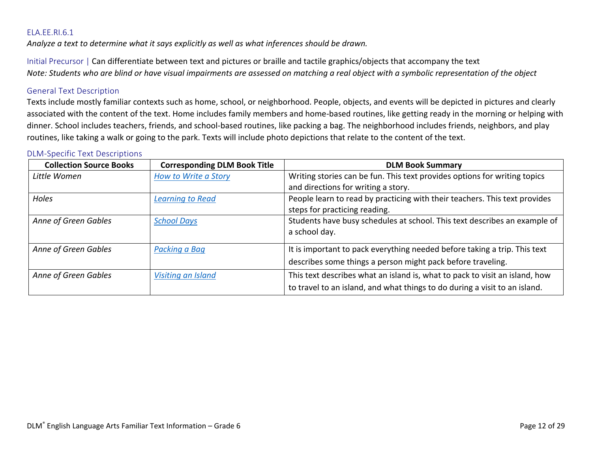<span id="page-11-0"></span>*Analyze a text to determine what it says explicitly as well as what inferences should be drawn.*

Initial Precursor | Can differentiate between text and pictures or braille and tactile graphics/objects that accompany the text *Note: Students who are blind or have visual impairments are assessed on matching a real object with a symbolic representation of the object*

#### General Text Description

Texts include mostly familiar contexts such as home, school, or neighborhood. People, objects, and events will be depicted in pictures and clearly associated with the content of the text. Home includes family members and home-based routines, like getting ready in the morning or helping with dinner. School includes teachers, friends, and school-based routines, like packing a bag. The neighborhood includes friends, neighbors, and play routines, like taking a walk or going to the park. Texts will include photo depictions that relate to the content of the text.

| <b>Collection Source Books</b> | <b>Corresponding DLM Book Title</b> | <b>DLM Book Summary</b>                                                     |
|--------------------------------|-------------------------------------|-----------------------------------------------------------------------------|
| Little Women                   | How to Write a Story                | Writing stories can be fun. This text provides options for writing topics   |
|                                |                                     | and directions for writing a story.                                         |
| Holes                          | Learning to Read                    | People learn to read by practicing with their teachers. This text provides  |
|                                |                                     | steps for practicing reading.                                               |
| Anne of Green Gables           | <b>School Days</b>                  | Students have busy schedules at school. This text describes an example of   |
|                                |                                     | a school day.                                                               |
| Anne of Green Gables           | Packing a Bag                       | It is important to pack everything needed before taking a trip. This text   |
|                                |                                     | describes some things a person might pack before traveling.                 |
| Anne of Green Gables           | Visiting an Island                  | This text describes what an island is, what to pack to visit an island, how |
|                                |                                     | to travel to an island, and what things to do during a visit to an island.  |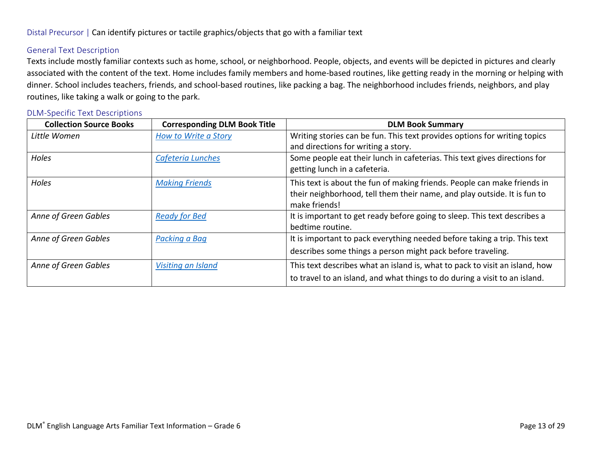### General Text Description

Texts include mostly familiar contexts such as home, school, or neighborhood. People, objects, and events will be depicted in pictures and clearly associated with the content of the text. Home includes family members and home-based routines, like getting ready in the morning or helping with dinner. School includes teachers, friends, and school-based routines, like packing a bag. The neighborhood includes friends, neighbors, and play routines, like taking a walk or going to the park.

| <b>Collection Source Books</b> | <b>Corresponding DLM Book Title</b> | <b>DLM Book Summary</b>                                                     |
|--------------------------------|-------------------------------------|-----------------------------------------------------------------------------|
| Little Women                   | How to Write a Story                | Writing stories can be fun. This text provides options for writing topics   |
|                                |                                     | and directions for writing a story.                                         |
| Holes                          | Cafeteria Lunches                   | Some people eat their lunch in cafeterias. This text gives directions for   |
|                                |                                     | getting lunch in a cafeteria.                                               |
| Holes                          | <b>Making Friends</b>               | This text is about the fun of making friends. People can make friends in    |
|                                |                                     | their neighborhood, tell them their name, and play outside. It is fun to    |
|                                |                                     | make friends!                                                               |
| Anne of Green Gables           | <b>Ready for Bed</b>                | It is important to get ready before going to sleep. This text describes a   |
|                                |                                     | bedtime routine.                                                            |
| Anne of Green Gables           | Packing a Baq                       | It is important to pack everything needed before taking a trip. This text   |
|                                |                                     | describes some things a person might pack before traveling.                 |
| Anne of Green Gables           | Visiting an Island                  | This text describes what an island is, what to pack to visit an island, how |
|                                |                                     | to travel to an island, and what things to do during a visit to an island.  |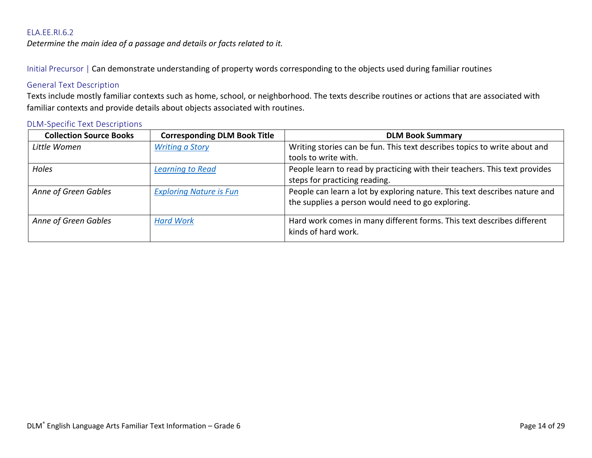<span id="page-13-0"></span>*Determine the main idea of a passage and details or facts related to it.*

Initial Precursor | Can demonstrate understanding of property words corresponding to the objects used during familiar routines

# General Text Description

Texts include mostly familiar contexts such as home, school, or neighborhood. The texts describe routines or actions that are associated with familiar contexts and provide details about objects associated with routines.

| Writing stories can be fun. This text describes topics to write about and                     |
|-----------------------------------------------------------------------------------------------|
|                                                                                               |
| tools to write with.                                                                          |
| People learn to read by practicing with their teachers. This text provides                    |
| steps for practicing reading.                                                                 |
| People can learn a lot by exploring nature. This text describes nature and                    |
| the supplies a person would need to go exploring.                                             |
| Hard work comes in many different forms. This text describes different<br>kinds of hard work. |
|                                                                                               |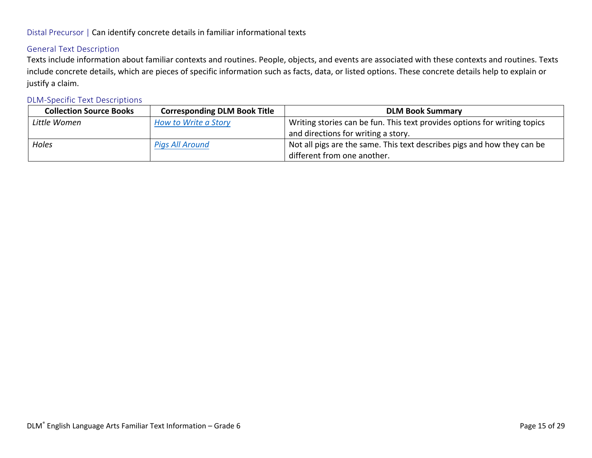## Distal Precursor | Can identify concrete details in familiar informational texts

## General Text Description

Texts include information about familiar contexts and routines. People, objects, and events are associated with these contexts and routines. Texts include concrete details, which are pieces of specific information such as facts, data, or listed options. These concrete details help to explain or justify a claim.

| <b>Collection Source Books</b> | <b>Corresponding DLM Book Title</b> | <b>DLM Book Summary</b>                                                   |
|--------------------------------|-------------------------------------|---------------------------------------------------------------------------|
| Little Women                   | How to Write a Story                | Writing stories can be fun. This text provides options for writing topics |
|                                |                                     | and directions for writing a story.                                       |
| Holes                          | Pigs All Around                     | Not all pigs are the same. This text describes pigs and how they can be   |
|                                |                                     | different from one another.                                               |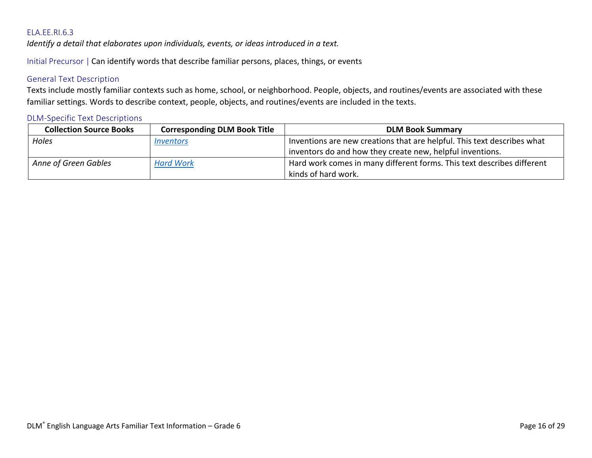<span id="page-15-0"></span>*Identify a detail that elaborates upon individuals, events, or ideas introduced in a text.*

Initial Precursor | Can identify words that describe familiar persons, places, things, or events

### General Text Description

Texts include mostly familiar contexts such as home, school, or neighborhood. People, objects, and routines/events are associated with these familiar settings. Words to describe context, people, objects, and routines/events are included in the texts.

| <b>Collection Source Books</b> | <b>Corresponding DLM Book Title</b> | <b>DLM Book Summary</b>                                                 |
|--------------------------------|-------------------------------------|-------------------------------------------------------------------------|
| Holes                          | <i><b>Inventors</b></i>             | Inventions are new creations that are helpful. This text describes what |
|                                |                                     | inventors do and how they create new, helpful inventions.               |
| Anne of Green Gables           | <b>Hard Work</b>                    | Hard work comes in many different forms. This text describes different  |
|                                |                                     | kinds of hard work.                                                     |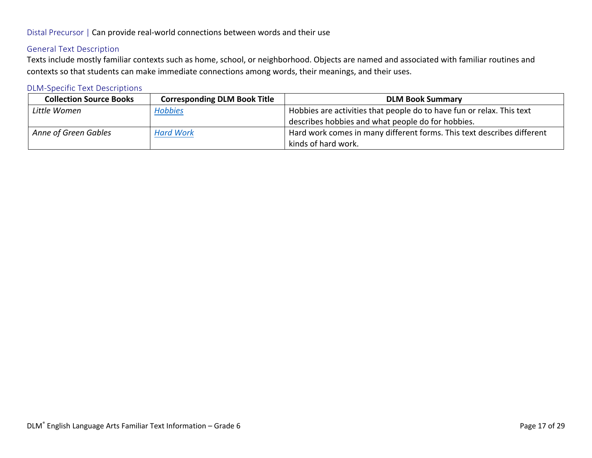## Distal Precursor | Can provide real-world connections between words and their use

# General Text Description

Texts include mostly familiar contexts such as home, school, or neighborhood. Objects are named and associated with familiar routines and contexts so that students can make immediate connections among words, their meanings, and their uses.

| <b>Collection Source Books</b> | <b>Corresponding DLM Book Title</b> | <b>DLM Book Summary</b>                                                |
|--------------------------------|-------------------------------------|------------------------------------------------------------------------|
| Little Women                   | <b>Hobbies</b>                      | Hobbies are activities that people do to have fun or relax. This text  |
|                                |                                     | describes hobbies and what people do for hobbies.                      |
| Anne of Green Gables           | <b>Hard Work</b>                    | Hard work comes in many different forms. This text describes different |
|                                |                                     | kinds of hard work.                                                    |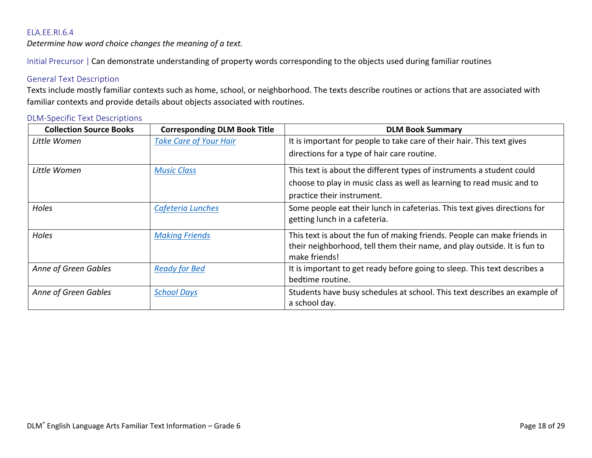<span id="page-17-0"></span>*Determine how word choice changes the meaning of a text.*

Initial Precursor | Can demonstrate understanding of property words corresponding to the objects used during familiar routines

### General Text Description

Texts include mostly familiar contexts such as home, school, or neighborhood. The texts describe routines or actions that are associated with familiar contexts and provide details about objects associated with routines.

| <b>Collection Source Books</b> | <b>Corresponding DLM Book Title</b> | <b>DLM Book Summary</b>                                                   |
|--------------------------------|-------------------------------------|---------------------------------------------------------------------------|
| Little Women                   | <b>Take Care of Your Hair</b>       | It is important for people to take care of their hair. This text gives    |
|                                |                                     | directions for a type of hair care routine.                               |
| Little Women                   | <b>Music Class</b>                  | This text is about the different types of instruments a student could     |
|                                |                                     | choose to play in music class as well as learning to read music and to    |
|                                |                                     | practice their instrument.                                                |
| Holes                          | Cafeteria Lunches                   | Some people eat their lunch in cafeterias. This text gives directions for |
|                                |                                     | getting lunch in a cafeteria.                                             |
| Holes                          | <b>Making Friends</b>               | This text is about the fun of making friends. People can make friends in  |
|                                |                                     | their neighborhood, tell them their name, and play outside. It is fun to  |
|                                |                                     | make friends!                                                             |
| Anne of Green Gables           | <b>Ready for Bed</b>                | It is important to get ready before going to sleep. This text describes a |
|                                |                                     | bedtime routine.                                                          |
| Anne of Green Gables           | <b>School Days</b>                  | Students have busy schedules at school. This text describes an example of |
|                                |                                     | a school day.                                                             |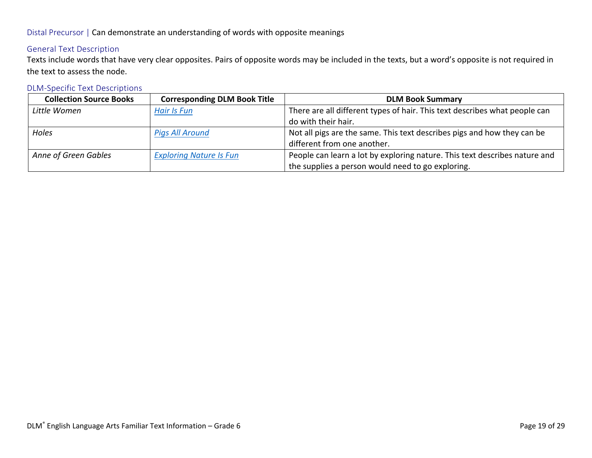# Distal Precursor | Can demonstrate an understanding of words with opposite meanings

# General Text Description

Texts include words that have very clear opposites. Pairs of opposite words may be included in the texts, but a word's opposite is not required in the text to assess the node.

| <b>Collection Source Books</b> | <b>Corresponding DLM Book Title</b> | <b>DLM Book Summary</b>                                                    |
|--------------------------------|-------------------------------------|----------------------------------------------------------------------------|
| Little Women                   | Hair Is Fun                         | There are all different types of hair. This text describes what people can |
|                                |                                     | do with their hair.                                                        |
| Holes                          | <b>Pigs All Around</b>              | Not all pigs are the same. This text describes pigs and how they can be    |
|                                |                                     | different from one another.                                                |
| Anne of Green Gables           | <b>Exploring Nature Is Fun</b>      | People can learn a lot by exploring nature. This text describes nature and |
|                                |                                     | the supplies a person would need to go exploring.                          |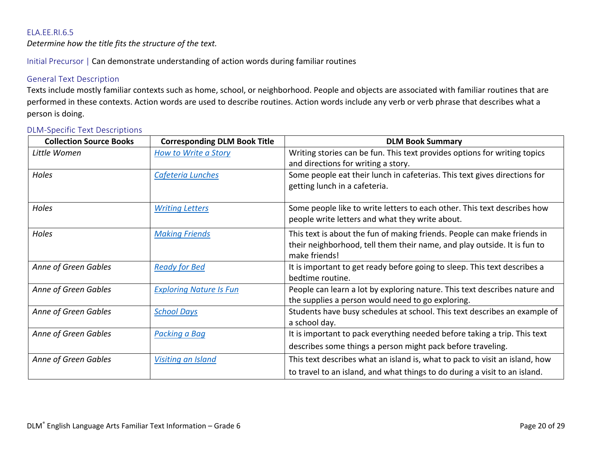<span id="page-19-0"></span>*Determine how the title fits the structure of the text.*

Initial Precursor | Can demonstrate understanding of action words during familiar routines

### General Text Description

Texts include mostly familiar contexts such as home, school, or neighborhood. People and objects are associated with familiar routines that are performed in these contexts. Action words are used to describe routines. Action words include any verb or verb phrase that describes what a person is doing.

| <b>Collection Source Books</b> | <b>Corresponding DLM Book Title</b> | <b>DLM Book Summary</b>                                                     |
|--------------------------------|-------------------------------------|-----------------------------------------------------------------------------|
| Little Women                   | <b>How to Write a Story</b>         | Writing stories can be fun. This text provides options for writing topics   |
|                                |                                     | and directions for writing a story.                                         |
| Holes                          | Cafeteria Lunches                   | Some people eat their lunch in cafeterias. This text gives directions for   |
|                                |                                     | getting lunch in a cafeteria.                                               |
| Holes                          | <b>Writing Letters</b>              | Some people like to write letters to each other. This text describes how    |
|                                |                                     | people write letters and what they write about.                             |
| Holes                          | <b>Making Friends</b>               | This text is about the fun of making friends. People can make friends in    |
|                                |                                     | their neighborhood, tell them their name, and play outside. It is fun to    |
|                                |                                     | make friends!                                                               |
| Anne of Green Gables           | <b>Ready for Bed</b>                | It is important to get ready before going to sleep. This text describes a   |
|                                |                                     | bedtime routine.                                                            |
| Anne of Green Gables           | <b>Exploring Nature Is Fun</b>      | People can learn a lot by exploring nature. This text describes nature and  |
|                                |                                     | the supplies a person would need to go exploring.                           |
| Anne of Green Gables           | <b>School Days</b>                  | Students have busy schedules at school. This text describes an example of   |
|                                |                                     | a school day.                                                               |
| Anne of Green Gables           | Packing a Bag                       | It is important to pack everything needed before taking a trip. This text   |
|                                |                                     | describes some things a person might pack before traveling.                 |
| Anne of Green Gables           | <b>Visiting an Island</b>           | This text describes what an island is, what to pack to visit an island, how |
|                                |                                     | to travel to an island, and what things to do during a visit to an island.  |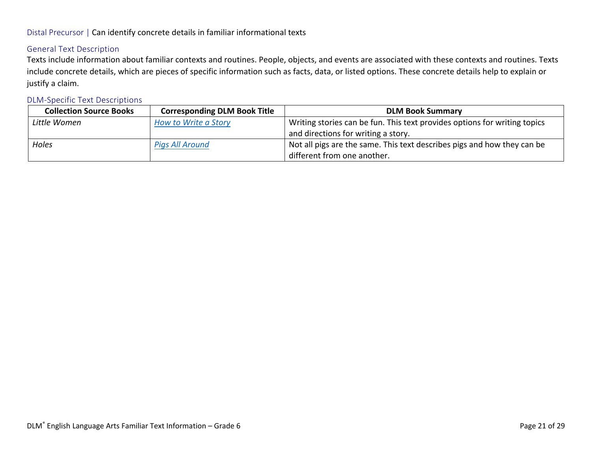## Distal Precursor | Can identify concrete details in familiar informational texts

## General Text Description

Texts include information about familiar contexts and routines. People, objects, and events are associated with these contexts and routines. Texts include concrete details, which are pieces of specific information such as facts, data, or listed options. These concrete details help to explain or justify a claim.

| <b>Collection Source Books</b> | <b>Corresponding DLM Book Title</b> | <b>DLM Book Summary</b>                                                   |
|--------------------------------|-------------------------------------|---------------------------------------------------------------------------|
| Little Women                   | How to Write a Story                | Writing stories can be fun. This text provides options for writing topics |
|                                |                                     | and directions for writing a story.                                       |
| Holes                          | Pigs All Around                     | Not all pigs are the same. This text describes pigs and how they can be   |
|                                |                                     | different from one another.                                               |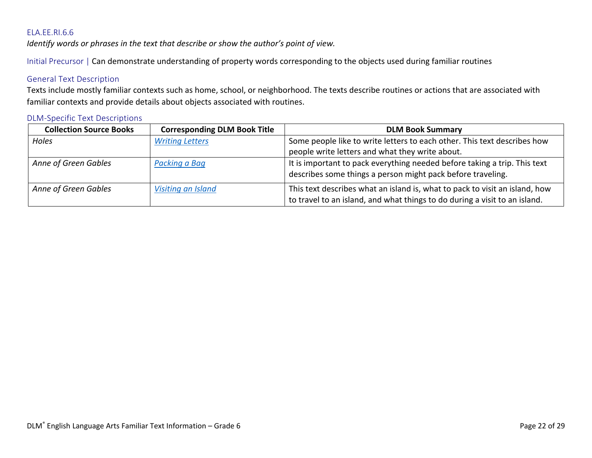<span id="page-21-0"></span>*Identify words or phrases in the text that describe or show the author's point of view.* 

Initial Precursor | Can demonstrate understanding of property words corresponding to the objects used during familiar routines

### General Text Description

Texts include mostly familiar contexts such as home, school, or neighborhood. The texts describe routines or actions that are associated with familiar contexts and provide details about objects associated with routines.

| <b>Collection Source Books</b> | <b>Corresponding DLM Book Title</b> | <b>DLM Book Summary</b>                                                                                                                                   |
|--------------------------------|-------------------------------------|-----------------------------------------------------------------------------------------------------------------------------------------------------------|
| Holes                          | <b>Writing Letters</b>              | Some people like to write letters to each other. This text describes how                                                                                  |
|                                |                                     | people write letters and what they write about.                                                                                                           |
| Anne of Green Gables           | Packing a Bag                       | It is important to pack everything needed before taking a trip. This text<br>describes some things a person might pack before traveling.                  |
| Anne of Green Gables           | Visiting an Island                  | This text describes what an island is, what to pack to visit an island, how<br>to travel to an island, and what things to do during a visit to an island. |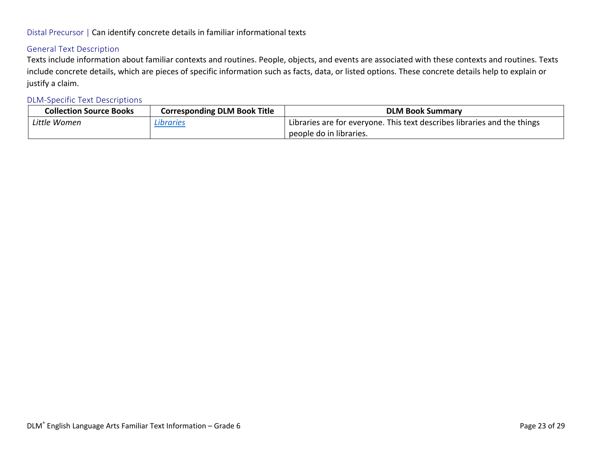## Distal Precursor | Can identify concrete details in familiar informational texts

### General Text Description

Texts include information about familiar contexts and routines. People, objects, and events are associated with these contexts and routines. Texts include concrete details, which are pieces of specific information such as facts, data, or listed options. These concrete details help to explain or justify a claim.

| <b>Collection Source Books</b> | <b>Corresponding DLM Book Title</b> | <b>DLM Book Summary</b>                                                  |
|--------------------------------|-------------------------------------|--------------------------------------------------------------------------|
| Little Women                   | Libraries                           | Libraries are for everyone. This text describes libraries and the things |
|                                |                                     | people do in libraries.                                                  |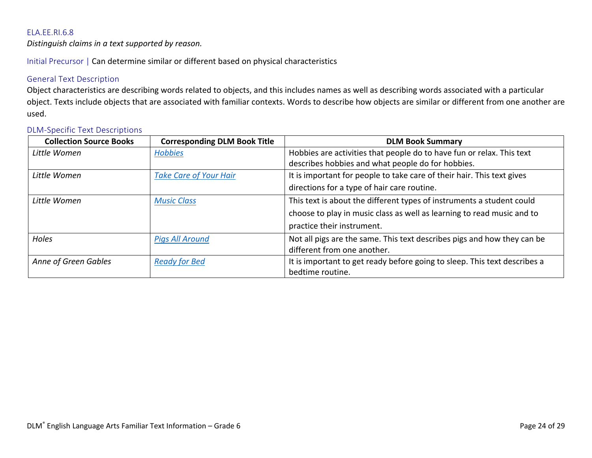<span id="page-23-0"></span>*Distinguish claims in a text supported by reason.*

Initial Precursor | Can determine similar or different based on physical characteristics

### General Text Description

Object characteristics are describing words related to objects, and this includes names as well as describing words associated with a particular object. Texts include objects that are associated with familiar contexts. Words to describe how objects are similar or different from one another are used.

| <b>Collection Source Books</b> | <b>Corresponding DLM Book Title</b> | <b>DLM Book Summary</b>                                                   |
|--------------------------------|-------------------------------------|---------------------------------------------------------------------------|
| Little Women                   | <b>Hobbies</b>                      | Hobbies are activities that people do to have fun or relax. This text     |
|                                |                                     | describes hobbies and what people do for hobbies.                         |
| Little Women                   | <b>Take Care of Your Hair</b>       | It is important for people to take care of their hair. This text gives    |
|                                |                                     | directions for a type of hair care routine.                               |
| Little Women                   | <b>Music Class</b>                  | This text is about the different types of instruments a student could     |
|                                |                                     | choose to play in music class as well as learning to read music and to    |
|                                |                                     | practice their instrument.                                                |
| Holes                          | Pigs All Around                     | Not all pigs are the same. This text describes pigs and how they can be   |
|                                |                                     | different from one another.                                               |
| Anne of Green Gables           | <b>Ready for Bed</b>                | It is important to get ready before going to sleep. This text describes a |
|                                |                                     | bedtime routine.                                                          |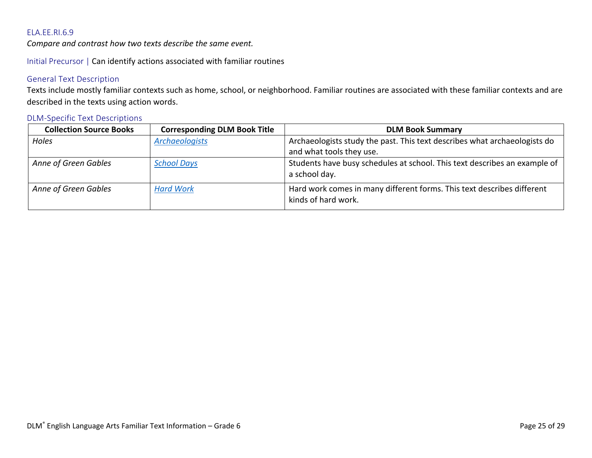<span id="page-24-0"></span>*Compare and contrast how two texts describe the same event.*

Initial Precursor | Can identify actions associated with familiar routines

### General Text Description

Texts include mostly familiar contexts such as home, school, or neighborhood. Familiar routines are associated with these familiar contexts and are described in the texts using action words.

| <b>Collection Source Books</b> | <b>Corresponding DLM Book Title</b> | <b>DLM Book Summary</b>                                                                       |
|--------------------------------|-------------------------------------|-----------------------------------------------------------------------------------------------|
| Holes                          | <b>Archaeologists</b>               | Archaeologists study the past. This text describes what archaeologists do                     |
|                                |                                     | and what tools they use.                                                                      |
| Anne of Green Gables           | <b>School Days</b>                  | Students have busy schedules at school. This text describes an example of<br>a school day.    |
| Anne of Green Gables           | <b>Hard Work</b>                    | Hard work comes in many different forms. This text describes different<br>kinds of hard work. |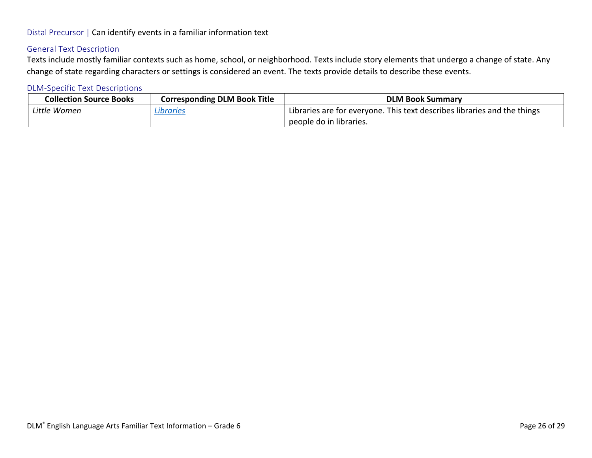## Distal Precursor | Can identify events in a familiar information text

## General Text Description

Texts include mostly familiar contexts such as home, school, or neighborhood. Texts include story elements that undergo a change of state. Any change of state regarding characters or settings is considered an event. The texts provide details to describe these events.

| <b>Collection Source Books</b> | <b>Corresponding DLM Book Title</b> | <b>DLM Book Summary</b>                                                  |
|--------------------------------|-------------------------------------|--------------------------------------------------------------------------|
| Little Women                   | Libraries                           | Libraries are for everyone. This text describes libraries and the things |
|                                |                                     | people do in libraries.                                                  |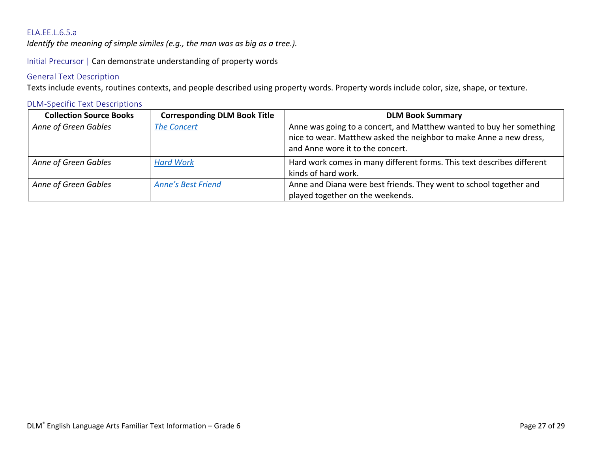#### <span id="page-26-0"></span>ELA.EE.L.6.5.a

*Identify the meaning of simple similes (e.g., the man was as big as a tree.).*

Initial Precursor | Can demonstrate understanding of property words

#### General Text Description

Texts include events, routines contexts, and people described using property words. Property words include color, size, shape, or texture.

# **Collection Source Books** | Corresponding DLM Book Title | DLM Book Summary Anne of Green Gables <sup>|</sup> [The Concert](http://tarheelreader.org/2014/10/11/the-concert/) **Anne Was going to a concert**, and Matthew wanted to buy her something nice to wear. Matthew asked the neighbor to make Anne a new dress, and Anne wore it to the concert. *Anne of Green Gables [Hard Work](http://tarheelreader.org/2014/10/01/hard-work-2/)* Hard work comes in many different forms. This text describes different kinds of hard work. *Anne of Green Gables [Anne's Best Friend](http://tarheelreader.org/2014/10/01/annes-best-friend/)* Anne and Diana were best friends. They went to school together and played together on the weekends.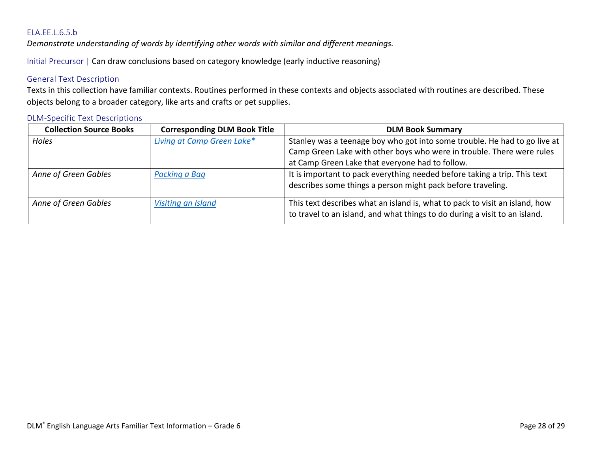#### <span id="page-27-0"></span>ELA.EE.L.6.5.b

*Demonstrate understanding of words by identifying other words with similar and different meanings.*

Initial Precursor | Can draw conclusions based on category knowledge (early inductive reasoning)

#### General Text Description

Texts in this collection have familiar contexts. Routines performed in these contexts and objects associated with routines are described. These objects belong to a broader category, like arts and crafts or pet supplies.

| <b>Collection Source Books</b> | <b>Corresponding DLM Book Title</b> | <b>DLM Book Summary</b>                                                     |
|--------------------------------|-------------------------------------|-----------------------------------------------------------------------------|
| <b>Holes</b>                   | Living at Camp Green Lake*          | Stanley was a teenage boy who got into some trouble. He had to go live at   |
|                                |                                     | Camp Green Lake with other boys who were in trouble. There were rules       |
|                                |                                     | at Camp Green Lake that everyone had to follow.                             |
| Anne of Green Gables           | Packing a Bag                       | It is important to pack everything needed before taking a trip. This text   |
|                                |                                     | describes some things a person might pack before traveling.                 |
| Anne of Green Gables           | Visiting an Island                  | This text describes what an island is, what to pack to visit an island, how |
|                                |                                     | to travel to an island, and what things to do during a visit to an island.  |